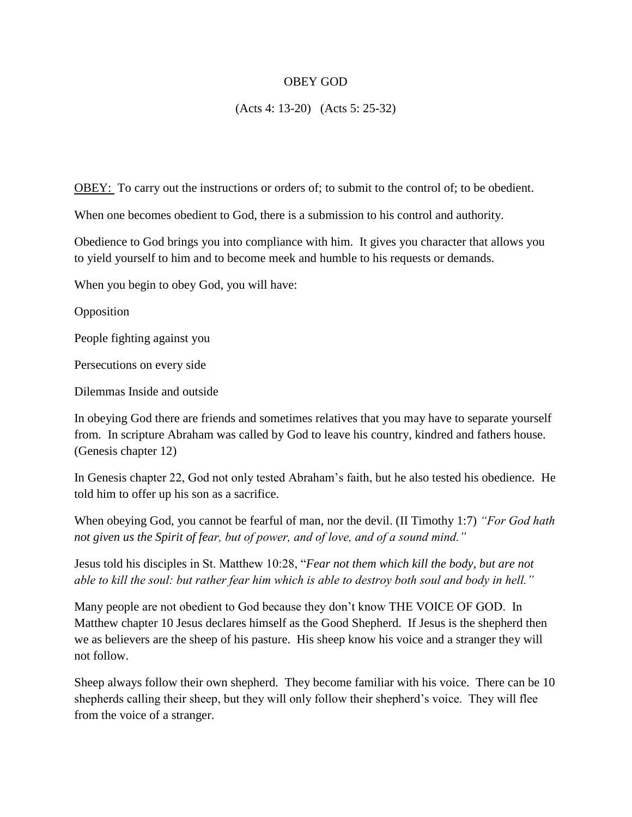## OBEY GOD

(Acts 4: 13-20) (Acts 5: 25-32)

OBEY: To carry out the instructions or orders of; to submit to the control of; to be obedient.

When one becomes obedient to God, there is a submission to his control and authority.

Obedience to God brings you into compliance with him. It gives you character that allows you to yield yourself to him and to become meek and humble to his requests or demands.

When you begin to obey God, you will have:

Opposition

People fighting against you

Persecutions on every side

Dilemmas Inside and outside

In obeying God there are friends and sometimes relatives that you may have to separate yourself from. In scripture Abraham was called by God to leave his country, kindred and fathers house. (Genesis chapter 12)

In Genesis chapter 22, God not only tested Abraham's faith, but he also tested his obedience. He told him to offer up his son as a sacrifice.

When obeying God, you cannot be fearful of man, nor the devil. (II Timothy 1:7) *"For God hath not given us the Spirit of fear, but of power, and of love, and of a sound mind."*

Jesus told his disciples in St. Matthew 10:28, "*Fear not them which kill the body, but are not able to kill the soul: but rather fear him which is able to destroy both soul and body in hell."*

Many people are not obedient to God because they don't know THE VOICE OF GOD. In Matthew chapter 10 Jesus declares himself as the Good Shepherd. If Jesus is the shepherd then we as believers are the sheep of his pasture. His sheep know his voice and a stranger they will not follow.

Sheep always follow their own shepherd. They become familiar with his voice. There can be 10 shepherds calling their sheep, but they will only follow their shepherd's voice. They will flee from the voice of a stranger.